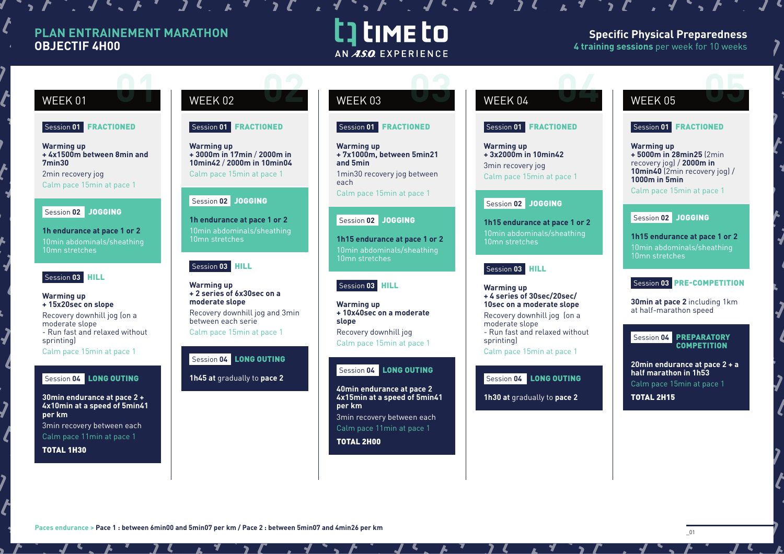# **PLAN ENTRAINEMENT MARATHON OBJECTIF 4H00**

 $f: J \rightarrow J' \rightarrow J \rightarrow J$ 

# t time to AN ASO EXPERIENCE

# **Specific Physical Preparedness 4 training sessions** per week for 10 weeks

## Session **01** FRACTIONED

**Warming up + 4x1500m between 8min and 7min30** 2min recovery jog

Calm pace 15min at pace 1

# Session **02** JOGGING

**1h endurance at pace 1 or 2** 10min abdominals/sheathing 10mn stretches

# Session **03** HILL

**Warming up + 15x20sec on slope** Recovery downhill jog (on a moderate slope - Run fast and relaxed without sprinting Calm pace 15min at pace 1

# Session **04** LONG OUTING

**30min endurance at pace 2 + 4x10min at a speed of 5min41 per km**  3min recovery between each Calm pace 11min at pace 1

TOTAL 1H30

# WEEK 01 WEEK 02 WEEK 03 WEEK 04 WEEK 05 **02 0 02 03 02 03 02 03 02 03 02 03 02 04 05 05 05 05**

### Session **01** FRACTIONED

**Warming up + 3000m in 17min** / **2000m in 10min42** / **2000m in 10min04** Calm pace 15min at pace 1

# Session **02** JOGGING

**1h endurance at pace 1 or 2** 10min abdominals/sheathing 10mn stretches

# Session **03** HILL

**Warming up + 2 series of 6x30sec on a moderate slope**  Recovery downhill jog and 3min between each serie

Calm pace 15min at pace 1

### Session **04** LONG OUTING

**1h45 at** gradually to **pace 2**

### Session **01** FRACTIONED

**Warming up + 7x1000m, between 5min21 and 5min**  1min30 recovery jog between

each Calm pace 15min at pace 1

# Session 02 JOGGING

**1h15 endurance at pace 1 or 2** 10min abdominals/sheathing 10mn stretches

# Session **03** HILL

**Warming up + 10x40sec on a moderate slope** Recovery downhill jog Calm pace 15min at pace 1

### Session **04** LONG OUTING

**40min endurance at pace 2 4x15min at a speed of 5min41 per km** 3min recovery between each Calm pace 11min at pace 1

TOTAL 2H00

 $\mathcal{L}$ ,  $\mathcal{L}$ ,  $\mathcal{L}$ ,  $\mathcal{L}$ ,  $\mathcal{L}$ ,  $\mathcal{L}$ ,  $\mathcal{L}$ ,  $\mathcal{L}$ ,  $\mathcal{L}$ ,  $\mathcal{L}$ ,  $\mathcal{L}$ ,  $\mathcal{L}$ ,  $\mathcal{L}$ ,  $\mathcal{L}$ ,  $\mathcal{L}$ ,  $\mathcal{L}$ ,  $\mathcal{L}$ ,  $\mathcal{L}$ ,  $\mathcal{L}$ ,  $\mathcal{L}$ ,  $\mathcal{L}$ ,  $\mathcal{L}$ ,

# Session **01** FRACTIONED

**Warming up + 3x2000m in 10min42**  3min recovery jog Calm pace 15min at pace 1

# Session **02** JOGGING

**1h15 endurance at pace 1 or 2** 10min abdominals/sheathing 10mn stretches

# Session 03 **HILL**

**Warming up + 4 series of 30sec/20sec/ 10sec on a moderate slope** Recovery downhill jog (on a moderate slope - Run fast and relaxed without sprinting Calm pace 15min at pace 1

# Session **04** LONG OUTING

**1h30 at** gradually to **pace 2**

# Session **01** FRACTIONED

**Warming up + 5000m in 28min25** (2min recovery jog) / **2000m in 10min40** (2min recovery jog) / **1000m in 5min**

Calm pace 15min at pace 1

# Session **02** JOGGING

**1h15 endurance at pace 1 or 2** 10min abdominals/sheathing 10mn stretches

# Session **03** PRE-COMPETITION

**30min at pace 2** including 1km at half-marathon speed

### Session **04** PREPARATORY **COMPETITION**

**20min endurance at pace 2 + a half marathon in 1h53**  Calm pace 15min at pace 1

TOTAL 2H15